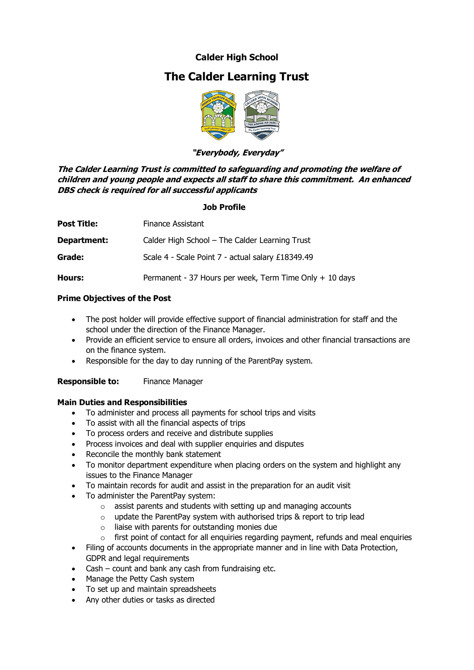### **Calder High School**

# **The Calder Learning Trust**



#### **"Everybody, Everyday"**

**The Calder Learning Trust is committed to safeguarding and promoting the welfare of children and young people and expects all staff to share this commitment. An enhanced DBS check is required for all successful applicants**

#### **Job Profile**

| <b>Post Title:</b> | Finance Assistant                                       |  |
|--------------------|---------------------------------------------------------|--|
| Department:        | Calder High School - The Calder Learning Trust          |  |
| Grade:             | Scale 4 - Scale Point 7 - actual salary £18349.49       |  |
| Hours:             | Permanent - 37 Hours per week, Term Time Only + 10 days |  |

#### **Prime Objectives of the Post**

- The post holder will provide effective support of financial administration for staff and the school under the direction of the Finance Manager.
- Provide an efficient service to ensure all orders, invoices and other financial transactions are on the finance system.
- Responsible for the day to day running of the ParentPay system.

**Responsible to:** Finance Manager

#### **Main Duties and Responsibilities**

- To administer and process all payments for school trips and visits
- To assist with all the financial aspects of trips
- To process orders and receive and distribute supplies
- Process invoices and deal with supplier enquiries and disputes
- Reconcile the monthly bank statement
- To monitor department expenditure when placing orders on the system and highlight any issues to the Finance Manager
- To maintain records for audit and assist in the preparation for an audit visit
- To administer the ParentPay system:
	- o assist parents and students with setting up and managing accounts
	- o update the ParentPay system with authorised trips & report to trip lead
	- $\circ$  liaise with parents for outstanding monies due
	- $\circ$  first point of contact for all enquiries regarding payment, refunds and meal enquiries
- Filing of accounts documents in the appropriate manner and in line with Data Protection, GDPR and legal requirements
- Cash count and bank any cash from fundraising etc.
- Manage the Petty Cash system
- To set up and maintain spreadsheets
- Any other duties or tasks as directed